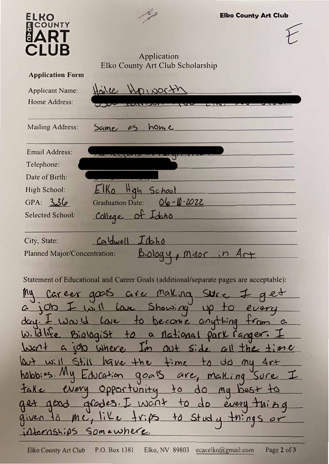| ELKO<br><b>COUNTY</b>                                                                                                              |                                                                                       | <b>Elko County Art Club</b> |
|------------------------------------------------------------------------------------------------------------------------------------|---------------------------------------------------------------------------------------|-----------------------------|
| . III                                                                                                                              | Application                                                                           |                             |
| <b>Application Form</b>                                                                                                            | Elko County Art Club Scholarship                                                      |                             |
| <b>Applicant Name:</b>                                                                                                             | Haile<br>$H$ 00010000                                                                 |                             |
| Home Address:                                                                                                                      |                                                                                       |                             |
| <b>Mailing Address:</b>                                                                                                            | home<br>Same<br>25                                                                    |                             |
| Email Address:                                                                                                                     |                                                                                       |                             |
| Telephone:                                                                                                                         |                                                                                       |                             |
| Date of Birth:                                                                                                                     |                                                                                       |                             |
| High School:                                                                                                                       | High<br>School                                                                        |                             |
| GPA: 336                                                                                                                           | 06-10-2022<br><b>Graduation Date:</b>                                                 |                             |
| <b>Selected School:</b>                                                                                                            | of Ideho<br>College                                                                   |                             |
| City, State:                                                                                                                       | Caldwell<br>$10$ cho                                                                  |                             |
| <b>Planned Major/Concentration:</b>                                                                                                |                                                                                       |                             |
|                                                                                                                                    |                                                                                       |                             |
|                                                                                                                                    | Statement of Educational and Career Goals (additional/separate pages are acceptable): |                             |
|                                                                                                                                    | My career goots are making sure I get                                                 |                             |
|                                                                                                                                    | a job I will love Showing up to every                                                 |                             |
|                                                                                                                                    | day. I was 11 lave to become anything trom a                                          |                             |
|                                                                                                                                    | <u>Wildlife Biologist to a national park ranger. I</u>                                |                             |
|                                                                                                                                    | World a job where I'm out side all the time                                           |                             |
|                                                                                                                                    |                                                                                       |                             |
| but will Still have the time to do my firt<br>habbies. My Education goals are, malling sure I                                      |                                                                                       |                             |
|                                                                                                                                    |                                                                                       |                             |
|                                                                                                                                    |                                                                                       |                             |
| take every opportunity to do my best to<br>get good grades. I wont to do every thing<br>given to me, like trips to study things or |                                                                                       |                             |
| internships somewhere.                                                                                                             |                                                                                       |                             |
|                                                                                                                                    |                                                                                       |                             |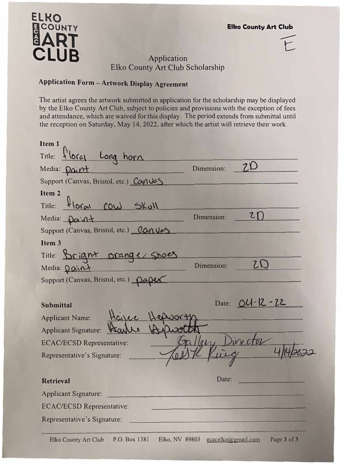$F$ 

## **ELKO**  E COUNTY **MART CLUB** Application

## Elko County Art Club Scholarship

## **Application Form - Artwork Display Agreement**

The artist agrees the artwork submitted in application for the scholarship may be displayed by the Elko County Art Club, subject to policies and provisions with the exception of fees and attendance, which are waived for this display. The period extends from submittal until the reception on Saturday, May 14, 2022, after which the artist will retrieve their work.

| Item 1                                     |
|--------------------------------------------|
| Title: floral Long horn.                   |
| Dimension:<br>Media: <u>paint</u>          |
| Support (Canvas, Bristol, etc.) Canvas     |
| Item <sub>2</sub>                          |
| floral cow Skull<br>Title:                 |
| $\mathbf{z}$<br>Dimension:<br>Media: Daint |
| Support (Canvas, Bristol, etc.) Canves     |
| Item <sub>3</sub>                          |
| Title: Bright orang & Shoes                |
| Dimension:<br>Media: <u>Daint</u>          |
| Support (Canvas, Bristol, etc.) Daper      |
|                                            |
| Date: 04-12-22<br><b>Submittal</b>         |
| <b>Applicant Name:</b>                     |
| <b>Applicant Signature:</b>                |
| leh<br><b>ECAC/ECSD Representative:</b>    |
| Representative's Signature:                |
|                                            |
| Date:<br><b>Retrieval</b>                  |
| <b>Applicant Signature:</b>                |
| <b>ECAC/ECSD Representative:</b>           |
| Representative's Signature:                |
|                                            |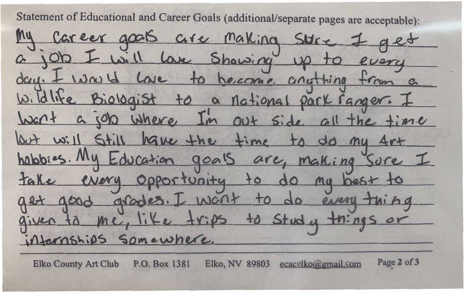Statement of Educational and Career Goals (additional/separate pages are acceptable): My Career goots are Making Stre 7 get a job I will lax Showing up to every day. I was 11 Love to hecome anothing from a <u>Wildlife Biologist to a national park ranger. I</u> Want a job where I'm out side all the time Wet will Still have the time to do my for habbies. My Education goals are, making sure I take every opportunity to do my best to get good grades. I wont to do every thing given to me, like trips to study things or Hernships somewhere.

Page 2 of 3 **Elko County Art Club** P.O. Box 1381 Elko, NV 89803 ecac  $\lfloor k \cdot \alpha \rfloor$ gmail. om